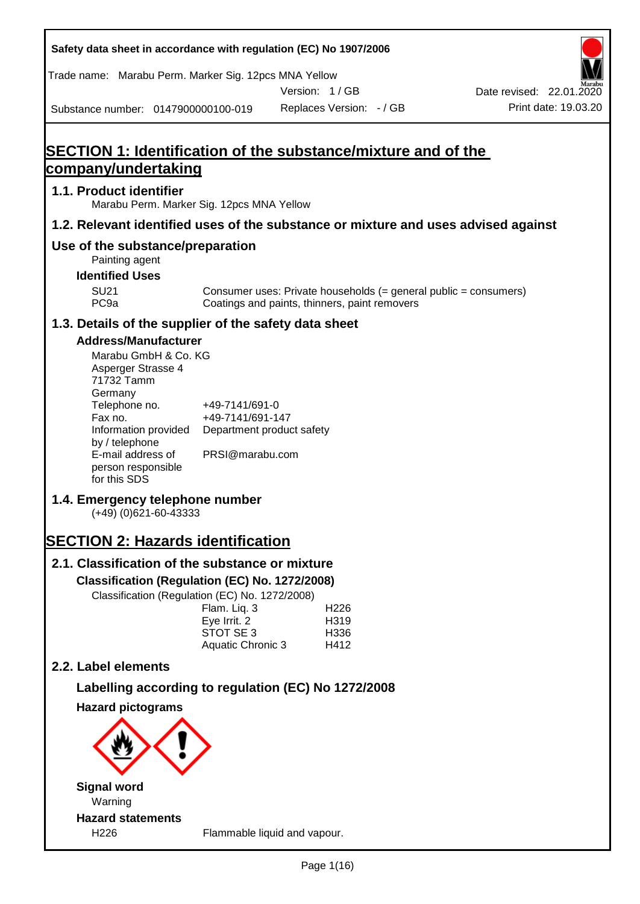| Safety data sheet in accordance with regulation (EC) No 1907/2006                                                                                                                                                                                                                                                                             |                                                                                    |                                           |                                               |                                                                  |
|-----------------------------------------------------------------------------------------------------------------------------------------------------------------------------------------------------------------------------------------------------------------------------------------------------------------------------------------------|------------------------------------------------------------------------------------|-------------------------------------------|-----------------------------------------------|------------------------------------------------------------------|
| Trade name: Marabu Perm. Marker Sig. 12pcs MNA Yellow                                                                                                                                                                                                                                                                                         |                                                                                    |                                           |                                               |                                                                  |
| Substance number: 0147900000100-019                                                                                                                                                                                                                                                                                                           |                                                                                    | Version: 1/GB<br>Replaces Version: - / GB |                                               | Date revised: 22.01.2020<br>Print date: 19.03.20                 |
|                                                                                                                                                                                                                                                                                                                                               |                                                                                    |                                           |                                               |                                                                  |
| SECTION 1: Identification of the substance/mixture and of the<br><u>company/undertaking</u>                                                                                                                                                                                                                                                   |                                                                                    |                                           |                                               |                                                                  |
| 1.1. Product identifier<br>Marabu Perm. Marker Sig. 12pcs MNA Yellow                                                                                                                                                                                                                                                                          |                                                                                    |                                           |                                               |                                                                  |
| 1.2. Relevant identified uses of the substance or mixture and uses advised against                                                                                                                                                                                                                                                            |                                                                                    |                                           |                                               |                                                                  |
| Use of the substance/preparation                                                                                                                                                                                                                                                                                                              |                                                                                    |                                           |                                               |                                                                  |
| Painting agent<br><b>Identified Uses</b>                                                                                                                                                                                                                                                                                                      |                                                                                    |                                           |                                               |                                                                  |
| <b>SU21</b><br>PC <sub>9a</sub>                                                                                                                                                                                                                                                                                                               |                                                                                    |                                           | Coatings and paints, thinners, paint removers | Consumer uses: Private households (= general public = consumers) |
| 1.3. Details of the supplier of the safety data sheet                                                                                                                                                                                                                                                                                         |                                                                                    |                                           |                                               |                                                                  |
| <b>Address/Manufacturer</b><br>Marabu GmbH & Co. KG<br>Asperger Strasse 4<br>71732 Tamm<br>Germany<br>Telephone no.<br>Fax no.<br>Information provided<br>by / telephone<br>E-mail address of<br>person responsible<br>for this SDS<br>1.4. Emergency telephone number<br>$(+49)$ (0)621-60-43333<br><b>SECTION 2: Hazards identification</b> | +49-7141/691-0<br>+49-7141/691-147<br>Department product safety<br>PRSI@marabu.com |                                           |                                               |                                                                  |
| 2.1. Classification of the substance or mixture                                                                                                                                                                                                                                                                                               |                                                                                    |                                           |                                               |                                                                  |
| Classification (Regulation (EC) No. 1272/2008)                                                                                                                                                                                                                                                                                                |                                                                                    |                                           |                                               |                                                                  |
| Classification (Regulation (EC) No. 1272/2008)                                                                                                                                                                                                                                                                                                | Flam. Liq. 3<br>Eye Irrit. 2<br>STOT SE 3<br>Aquatic Chronic 3                     | H226<br>H319<br>H336<br>H412              |                                               |                                                                  |
| 2.2. Label elements                                                                                                                                                                                                                                                                                                                           |                                                                                    |                                           |                                               |                                                                  |
| Labelling according to regulation (EC) No 1272/2008                                                                                                                                                                                                                                                                                           |                                                                                    |                                           |                                               |                                                                  |
| <b>Hazard pictograms</b>                                                                                                                                                                                                                                                                                                                      |                                                                                    |                                           |                                               |                                                                  |
|                                                                                                                                                                                                                                                                                                                                               |                                                                                    |                                           |                                               |                                                                  |
| <b>Signal word</b><br>Warning                                                                                                                                                                                                                                                                                                                 |                                                                                    |                                           |                                               |                                                                  |
| <b>Hazard statements</b><br>H226                                                                                                                                                                                                                                                                                                              | Flammable liquid and vapour.                                                       |                                           |                                               |                                                                  |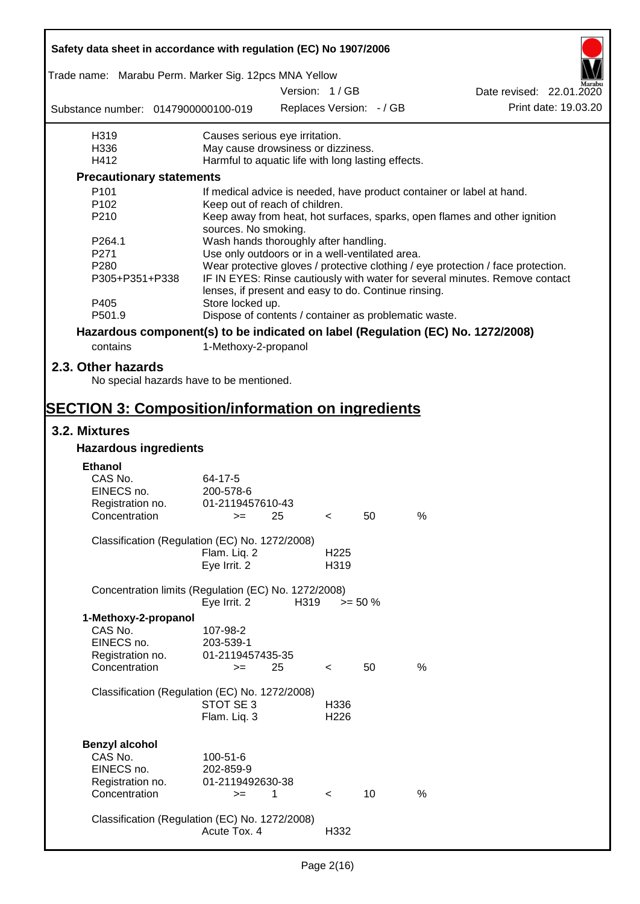| Safety data sheet in accordance with regulation (EC) No 1907/2006               |                                                       |               |                  |                          |      |                                                                                  |  |
|---------------------------------------------------------------------------------|-------------------------------------------------------|---------------|------------------|--------------------------|------|----------------------------------------------------------------------------------|--|
| Trade name: Marabu Perm. Marker Sig. 12pcs MNA Yellow                           |                                                       |               |                  |                          |      |                                                                                  |  |
|                                                                                 |                                                       | Version: 1/GB |                  |                          |      | Date revised: 22.01.2020                                                         |  |
| Substance number: 0147900000100-019                                             |                                                       |               |                  | Replaces Version: - / GB |      | Print date: 19.03.20                                                             |  |
| H319                                                                            | Causes serious eye irritation.                        |               |                  |                          |      |                                                                                  |  |
| H336                                                                            | May cause drowsiness or dizziness.                    |               |                  |                          |      |                                                                                  |  |
| H412                                                                            | Harmful to aquatic life with long lasting effects.    |               |                  |                          |      |                                                                                  |  |
| <b>Precautionary statements</b>                                                 |                                                       |               |                  |                          |      |                                                                                  |  |
| P <sub>101</sub>                                                                |                                                       |               |                  |                          |      | If medical advice is needed, have product container or label at hand.            |  |
| P <sub>102</sub>                                                                | Keep out of reach of children.                        |               |                  |                          |      |                                                                                  |  |
| P210                                                                            | sources. No smoking.                                  |               |                  |                          |      | Keep away from heat, hot surfaces, sparks, open flames and other ignition        |  |
| P264.1                                                                          | Wash hands thoroughly after handling.                 |               |                  |                          |      |                                                                                  |  |
| P271                                                                            | Use only outdoors or in a well-ventilated area.       |               |                  |                          |      |                                                                                  |  |
| P <sub>280</sub>                                                                |                                                       |               |                  |                          |      | Wear protective gloves / protective clothing / eye protection / face protection. |  |
| P305+P351+P338                                                                  | lenses, if present and easy to do. Continue rinsing.  |               |                  |                          |      | IF IN EYES: Rinse cautiously with water for several minutes. Remove contact      |  |
| P405                                                                            | Store locked up.                                      |               |                  |                          |      |                                                                                  |  |
| P501.9                                                                          | Dispose of contents / container as problematic waste. |               |                  |                          |      |                                                                                  |  |
| Hazardous component(s) to be indicated on label (Regulation (EC) No. 1272/2008) |                                                       |               |                  |                          |      |                                                                                  |  |
| contains                                                                        | 1-Methoxy-2-propanol                                  |               |                  |                          |      |                                                                                  |  |
| 2.3. Other hazards<br>No special hazards have to be mentioned.                  |                                                       |               |                  |                          |      |                                                                                  |  |
| <b>SECTION 3: Composition/information on ingredients</b>                        |                                                       |               |                  |                          |      |                                                                                  |  |
| 3.2. Mixtures                                                                   |                                                       |               |                  |                          |      |                                                                                  |  |
| <b>Hazardous ingredients</b>                                                    |                                                       |               |                  |                          |      |                                                                                  |  |
| <b>Ethanol</b>                                                                  |                                                       |               |                  |                          |      |                                                                                  |  |
| CAS No.                                                                         | 64-17-5                                               |               |                  |                          |      |                                                                                  |  |
| EINECS no.                                                                      | 200-578-6                                             |               |                  |                          |      |                                                                                  |  |
| Registration no.                                                                | 01-2119457610-43                                      |               |                  |                          |      |                                                                                  |  |
| Concentration                                                                   | $>= 25$                                               |               | $\prec$          | 50                       | %    |                                                                                  |  |
|                                                                                 |                                                       |               |                  |                          |      |                                                                                  |  |
| Classification (Regulation (EC) No. 1272/2008)                                  |                                                       |               | H <sub>225</sub> |                          |      |                                                                                  |  |
|                                                                                 | Flam. Liq. 2<br>Eye Irrit. 2                          |               | H319             |                          |      |                                                                                  |  |
|                                                                                 |                                                       |               |                  |                          |      |                                                                                  |  |
| Concentration limits (Regulation (EC) No. 1272/2008)                            | Eye Irrit. 2                                          | H319          |                  | $>= 50 \%$               |      |                                                                                  |  |
| 1-Methoxy-2-propanol                                                            |                                                       |               |                  |                          |      |                                                                                  |  |
| CAS No.                                                                         | 107-98-2                                              |               |                  |                          |      |                                                                                  |  |
| EINECS no.                                                                      | 203-539-1                                             |               |                  |                          |      |                                                                                  |  |
| Registration no.                                                                | 01-2119457435-35                                      |               |                  |                          |      |                                                                                  |  |
| Concentration                                                                   | $=$                                                   | 25            | $\lt$            | 50                       | $\%$ |                                                                                  |  |
|                                                                                 |                                                       |               |                  |                          |      |                                                                                  |  |
| Classification (Regulation (EC) No. 1272/2008)                                  |                                                       |               |                  |                          |      |                                                                                  |  |
|                                                                                 | STOT SE 3                                             |               | H336             |                          |      |                                                                                  |  |
|                                                                                 | Flam. Liq. 3                                          |               | H226             |                          |      |                                                                                  |  |
|                                                                                 |                                                       |               |                  |                          |      |                                                                                  |  |
| <b>Benzyl alcohol</b>                                                           |                                                       |               |                  |                          |      |                                                                                  |  |
| CAS No.                                                                         | 100-51-6                                              |               |                  |                          |      |                                                                                  |  |
| EINECS no.                                                                      | 202-859-9                                             |               |                  |                          |      |                                                                                  |  |
| Registration no.<br>Concentration                                               | 01-2119492630-38<br>$=$                               | 1             |                  | 10                       | %    |                                                                                  |  |
|                                                                                 |                                                       |               | $\prec$          |                          |      |                                                                                  |  |
| Classification (Regulation (EC) No. 1272/2008)                                  |                                                       |               |                  |                          |      |                                                                                  |  |
|                                                                                 | Acute Tox. 4                                          |               | H332             |                          |      |                                                                                  |  |
|                                                                                 |                                                       |               |                  |                          |      |                                                                                  |  |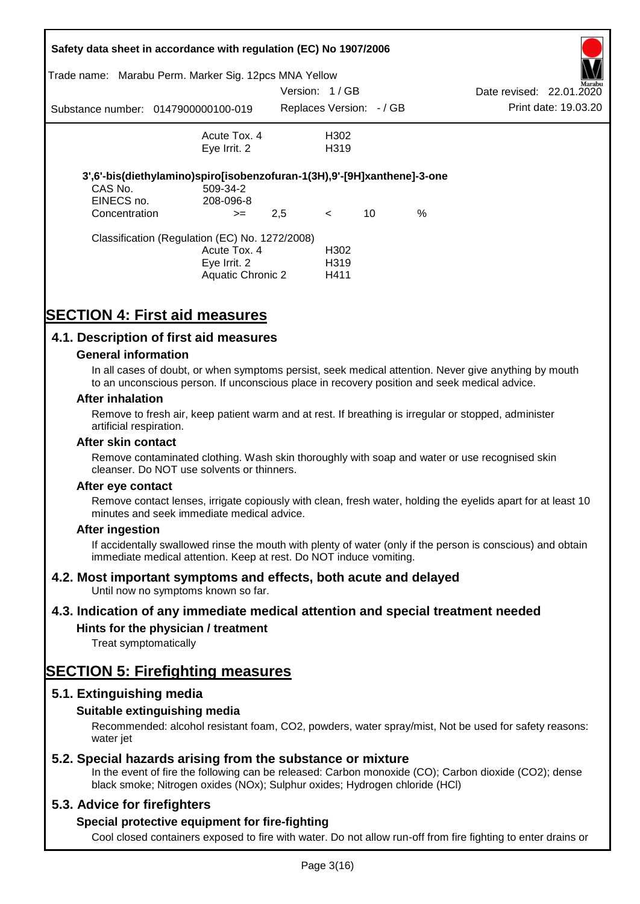|                                        | Safety data sheet in accordance with regulation (EC) No 1907/2006<br>Trade name: Marabu Perm. Marker Sig. 12pcs MNA Yellow |                          |                                       |      |                                    |
|----------------------------------------|----------------------------------------------------------------------------------------------------------------------------|--------------------------|---------------------------------------|------|------------------------------------|
|                                        |                                                                                                                            | Version: 1/GB            |                                       |      | Marabu<br>Date revised: 22.01.2020 |
|                                        | Substance number: 0147900000100-019                                                                                        | Replaces Version: - / GB |                                       |      | Print date: 19.03.20               |
|                                        | Acute Tox. 4<br>Eye Irrit. 2                                                                                               |                          | H <sub>302</sub><br>H <sub>3</sub> 19 |      |                                    |
| CAS No.<br>EINECS no.<br>Concentration | 3',6'-bis(diethylamino)spiro[isobenzofuran-1(3H),9'-[9H]xanthene]-3-one<br>509-34-2<br>208-096-8<br>$>=$                   | 2,5                      | 10<br>$\prec$                         | $\%$ |                                    |
|                                        | Classification (Regulation (EC) No. 1272/2008)<br>Acute Tox. 4<br>Eye Irrit. 2<br>Aquatic Chronic 2                        |                          | H302<br>H <sub>3</sub> 19<br>H411     |      |                                    |

# **SECTION 4: First aid measures**

## **4.1. Description of first aid measures**

#### **General information**

In all cases of doubt, or when symptoms persist, seek medical attention. Never give anything by mouth to an unconscious person. If unconscious place in recovery position and seek medical advice.

#### **After inhalation**

Remove to fresh air, keep patient warm and at rest. If breathing is irregular or stopped, administer artificial respiration.

#### **After skin contact**

Remove contaminated clothing. Wash skin thoroughly with soap and water or use recognised skin cleanser. Do NOT use solvents or thinners.

#### **After eye contact**

Remove contact lenses, irrigate copiously with clean, fresh water, holding the eyelids apart for at least 10 minutes and seek immediate medical advice.

#### **After ingestion**

If accidentally swallowed rinse the mouth with plenty of water (only if the person is conscious) and obtain immediate medical attention. Keep at rest. Do NOT induce vomiting.

### **4.2. Most important symptoms and effects, both acute and delayed**

Until now no symptoms known so far.

### **4.3. Indication of any immediate medical attention and special treatment needed**

### **Hints for the physician / treatment**

Treat symptomatically

# **SECTION 5: Firefighting measures**

### **5.1. Extinguishing media**

### **Suitable extinguishing media**

Recommended: alcohol resistant foam, CO2, powders, water spray/mist, Not be used for safety reasons: water *iet* 

### **5.2. Special hazards arising from the substance or mixture**

In the event of fire the following can be released: Carbon monoxide (CO); Carbon dioxide (CO2); dense black smoke; Nitrogen oxides (NOx); Sulphur oxides; Hydrogen chloride (HCl)

### **5.3. Advice for firefighters**

### **Special protective equipment for fire-fighting**

Cool closed containers exposed to fire with water. Do not allow run-off from fire fighting to enter drains or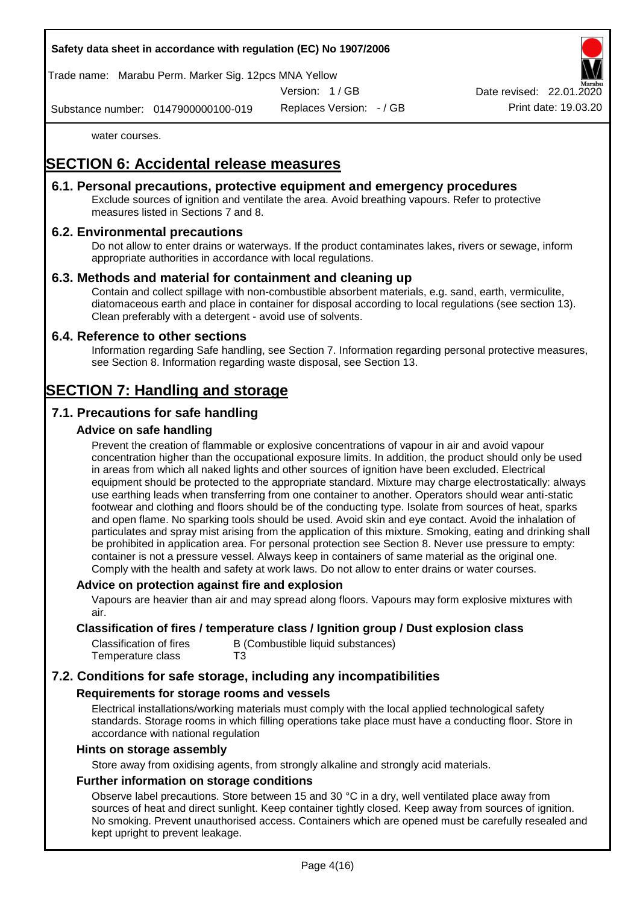#### **Safety data sheet in accordance with regulation (EC) No 1907/2006**

Trade name: Marabu Perm. Marker Sig. 12pcs MNA Yellow

Version: 1 / GB

Date revised: 22.01.

Substance number: 0147900000100-019

Replaces Version: - / GB Print date: 19.03.20

water courses.

# **SECTION 6: Accidental release measures**

### **6.1. Personal precautions, protective equipment and emergency procedures**

Exclude sources of ignition and ventilate the area. Avoid breathing vapours. Refer to protective measures listed in Sections 7 and 8.

### **6.2. Environmental precautions**

Do not allow to enter drains or waterways. If the product contaminates lakes, rivers or sewage, inform appropriate authorities in accordance with local regulations.

#### **6.3. Methods and material for containment and cleaning up**

Contain and collect spillage with non-combustible absorbent materials, e.g. sand, earth, vermiculite, diatomaceous earth and place in container for disposal according to local regulations (see section 13). Clean preferably with a detergent - avoid use of solvents.

#### **6.4. Reference to other sections**

Information regarding Safe handling, see Section 7. Information regarding personal protective measures, see Section 8. Information regarding waste disposal, see Section 13.

# **SECTION 7: Handling and storage**

## **7.1. Precautions for safe handling**

#### **Advice on safe handling**

Prevent the creation of flammable or explosive concentrations of vapour in air and avoid vapour concentration higher than the occupational exposure limits. In addition, the product should only be used in areas from which all naked lights and other sources of ignition have been excluded. Electrical equipment should be protected to the appropriate standard. Mixture may charge electrostatically: always use earthing leads when transferring from one container to another. Operators should wear anti-static footwear and clothing and floors should be of the conducting type. Isolate from sources of heat, sparks and open flame. No sparking tools should be used. Avoid skin and eye contact. Avoid the inhalation of particulates and spray mist arising from the application of this mixture. Smoking, eating and drinking shall be prohibited in application area. For personal protection see Section 8. Never use pressure to empty: container is not a pressure vessel. Always keep in containers of same material as the original one. Comply with the health and safety at work laws. Do not allow to enter drains or water courses.

#### **Advice on protection against fire and explosion**

Vapours are heavier than air and may spread along floors. Vapours may form explosive mixtures with air.

#### **Classification of fires / temperature class / Ignition group / Dust explosion class**

| Classification of fires | B (Combustible liquid substances) |
|-------------------------|-----------------------------------|
| Temperature class       | T3                                |

## **7.2. Conditions for safe storage, including any incompatibilities**

#### **Requirements for storage rooms and vessels**

Electrical installations/working materials must comply with the local applied technological safety standards. Storage rooms in which filling operations take place must have a conducting floor. Store in accordance with national regulation

#### **Hints on storage assembly**

Store away from oxidising agents, from strongly alkaline and strongly acid materials.

#### **Further information on storage conditions**

Observe label precautions. Store between 15 and 30 °C in a dry, well ventilated place away from sources of heat and direct sunlight. Keep container tightly closed. Keep away from sources of ignition. No smoking. Prevent unauthorised access. Containers which are opened must be carefully resealed and kept upright to prevent leakage.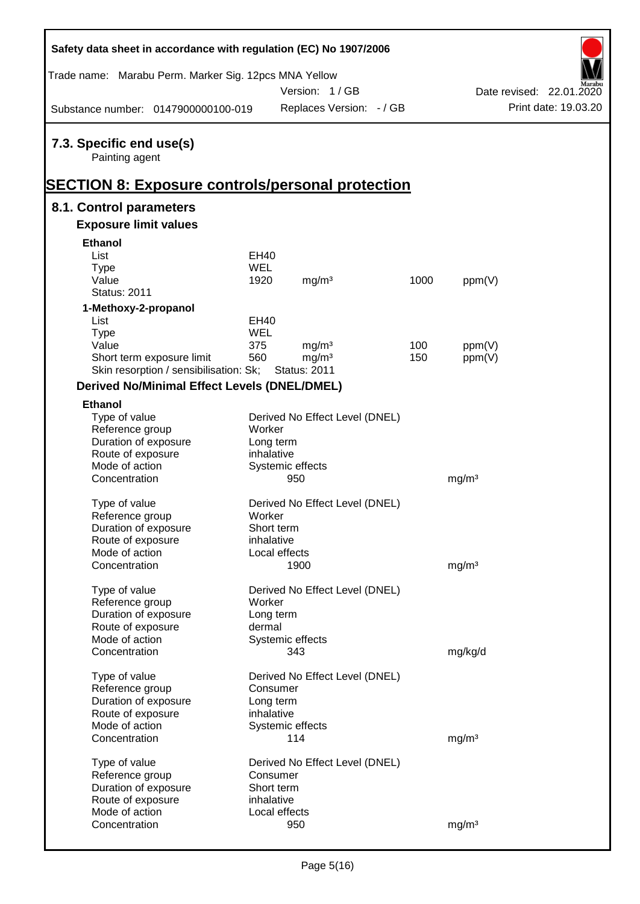| Safety data sheet in accordance with regulation (EC) No 1907/2006 |                         |                                |      |                   |                          |
|-------------------------------------------------------------------|-------------------------|--------------------------------|------|-------------------|--------------------------|
| Trade name: Marabu Perm. Marker Sig. 12pcs MNA Yellow             |                         |                                |      |                   |                          |
|                                                                   |                         | Version: 1/GB                  |      |                   | Date revised: 22.01.2020 |
| Substance number: 0147900000100-019                               |                         | Replaces Version: - / GB       |      |                   | Print date: 19.03.20     |
| 7.3. Specific end use(s)<br>Painting agent                        |                         |                                |      |                   |                          |
| <u> SECTION 8: Exposure controls/personal protection</u>          |                         |                                |      |                   |                          |
| 8.1. Control parameters<br><b>Exposure limit values</b>           |                         |                                |      |                   |                          |
| <b>Ethanol</b>                                                    |                         |                                |      |                   |                          |
| List                                                              | EH40                    |                                |      |                   |                          |
| <b>Type</b>                                                       | <b>WEL</b>              |                                |      |                   |                          |
| Value                                                             | 1920                    | mg/m <sup>3</sup>              | 1000 | ppm(V)            |                          |
| <b>Status: 2011</b>                                               |                         |                                |      |                   |                          |
| 1-Methoxy-2-propanol                                              |                         |                                |      |                   |                          |
| List                                                              | <b>EH40</b>             |                                |      |                   |                          |
| <b>Type</b>                                                       | <b>WEL</b>              |                                |      |                   |                          |
| Value                                                             | 375                     | mg/m <sup>3</sup>              | 100  | ppm(V)            |                          |
| Short term exposure limit                                         | 560                     | mg/m <sup>3</sup>              | 150  | ppm(V)            |                          |
| Skin resorption / sensibilisation: Sk;                            |                         | <b>Status: 2011</b>            |      |                   |                          |
| <b>Derived No/Minimal Effect Levels (DNEL/DMEL)</b>               |                         |                                |      |                   |                          |
| <b>Ethanol</b>                                                    |                         |                                |      |                   |                          |
| Type of value                                                     |                         | Derived No Effect Level (DNEL) |      |                   |                          |
| Reference group                                                   | Worker                  |                                |      |                   |                          |
| Duration of exposure                                              | Long term<br>inhalative |                                |      |                   |                          |
| Route of exposure<br>Mode of action                               |                         | Systemic effects               |      |                   |                          |
| Concentration                                                     |                         | 950                            |      | mg/m <sup>3</sup> |                          |
|                                                                   |                         |                                |      |                   |                          |
| Type of value                                                     |                         | Derived No Effect Level (DNEL) |      |                   |                          |
| Reference group                                                   | Worker                  |                                |      |                   |                          |
| Duration of exposure                                              | Short term              |                                |      |                   |                          |
| Route of exposure                                                 | inhalative              |                                |      |                   |                          |
| Mode of action                                                    |                         | Local effects                  |      |                   |                          |
| Concentration                                                     |                         | 1900                           |      | mg/m <sup>3</sup> |                          |
| Type of value                                                     |                         | Derived No Effect Level (DNEL) |      |                   |                          |
| Reference group                                                   | Worker                  |                                |      |                   |                          |
| Duration of exposure                                              | Long term               |                                |      |                   |                          |
| Route of exposure                                                 | dermal                  |                                |      |                   |                          |
| Mode of action                                                    |                         | Systemic effects               |      |                   |                          |
| Concentration                                                     |                         | 343                            |      | mg/kg/d           |                          |
| Type of value                                                     |                         | Derived No Effect Level (DNEL) |      |                   |                          |
| Reference group                                                   | Consumer                |                                |      |                   |                          |
| Duration of exposure                                              | Long term               |                                |      |                   |                          |
| Route of exposure                                                 | inhalative              |                                |      |                   |                          |
| Mode of action                                                    |                         | Systemic effects               |      |                   |                          |
| Concentration                                                     |                         | 114                            |      | mg/m <sup>3</sup> |                          |
|                                                                   |                         |                                |      |                   |                          |
| Type of value                                                     |                         | Derived No Effect Level (DNEL) |      |                   |                          |
| Reference group<br>Duration of exposure                           | Consumer<br>Short term  |                                |      |                   |                          |
| Route of exposure                                                 | inhalative              |                                |      |                   |                          |
| Mode of action                                                    |                         | Local effects                  |      |                   |                          |
| Concentration                                                     |                         | 950                            |      | mg/m <sup>3</sup> |                          |
|                                                                   |                         |                                |      |                   |                          |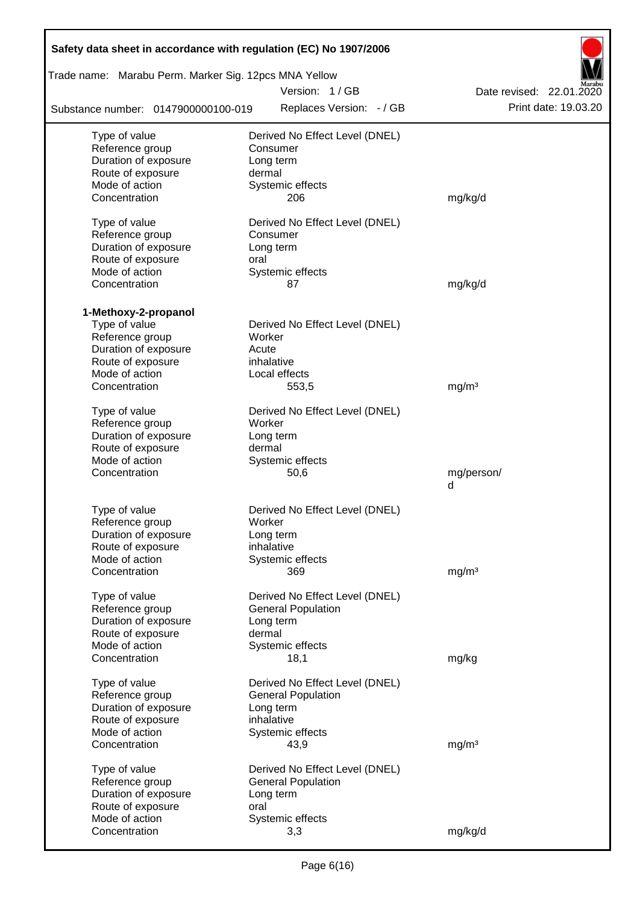| Safety data sheet in accordance with regulation (EC) No 1907/2006 |                                        |                          |
|-------------------------------------------------------------------|----------------------------------------|--------------------------|
| Trade name: Marabu Perm. Marker Sig. 12pcs MNA Yellow             |                                        |                          |
|                                                                   | Version: 1/GB                          | Date revised: 22.01.2020 |
| Substance number: 0147900000100-019                               | Replaces Version: - / GB               | Print date: 19.03.20     |
| Type of value                                                     | Derived No Effect Level (DNEL)         |                          |
| Reference group                                                   | Consumer                               |                          |
| Duration of exposure                                              | Long term                              |                          |
| Route of exposure                                                 | dermal                                 |                          |
| Mode of action                                                    | Systemic effects                       |                          |
| Concentration                                                     | 206                                    | mg/kg/d                  |
| Type of value                                                     | Derived No Effect Level (DNEL)         |                          |
| Reference group                                                   | Consumer                               |                          |
| Duration of exposure                                              | Long term                              |                          |
| Route of exposure                                                 | oral                                   |                          |
| Mode of action                                                    | Systemic effects                       |                          |
| Concentration                                                     | 87                                     | mg/kg/d                  |
| 1-Methoxy-2-propanol                                              |                                        |                          |
| Type of value                                                     | Derived No Effect Level (DNEL)         |                          |
| Reference group                                                   | Worker                                 |                          |
| Duration of exposure                                              | Acute                                  |                          |
| Route of exposure                                                 | inhalative                             |                          |
| Mode of action                                                    | Local effects                          |                          |
| Concentration                                                     | 553,5                                  | mg/m <sup>3</sup>        |
| Type of value                                                     | Derived No Effect Level (DNEL)         |                          |
| Reference group                                                   | Worker                                 |                          |
| Duration of exposure                                              | Long term                              |                          |
| Route of exposure                                                 | dermal                                 |                          |
| Mode of action                                                    | Systemic effects                       |                          |
| Concentration                                                     | 50,6                                   | mg/person/               |
|                                                                   |                                        | d                        |
| Type of value                                                     | Derived No Effect Level (DNEL)         |                          |
| Reference group                                                   | Worker                                 |                          |
| Duration of exposure                                              | Long term                              |                          |
| Route of exposure                                                 | inhalative                             |                          |
| Mode of action                                                    | Systemic effects                       |                          |
| Concentration                                                     | 369                                    | mg/m <sup>3</sup>        |
|                                                                   | Derived No Effect Level (DNEL)         |                          |
| Type of value<br>Reference group                                  | <b>General Population</b>              |                          |
| Duration of exposure                                              | Long term                              |                          |
| Route of exposure                                                 | dermal                                 |                          |
| Mode of action                                                    | Systemic effects                       |                          |
| Concentration                                                     | 18,1                                   | mg/kg                    |
|                                                                   |                                        |                          |
| Type of value                                                     | Derived No Effect Level (DNEL)         |                          |
| Reference group<br>Duration of exposure                           | <b>General Population</b><br>Long term |                          |
| Route of exposure                                                 | inhalative                             |                          |
| Mode of action                                                    | Systemic effects                       |                          |
| Concentration                                                     | 43,9                                   | mg/m <sup>3</sup>        |
|                                                                   |                                        |                          |
| Type of value                                                     | Derived No Effect Level (DNEL)         |                          |
| Reference group                                                   | <b>General Population</b>              |                          |
| Duration of exposure                                              | Long term                              |                          |
| Route of exposure<br>Mode of action                               | oral                                   |                          |
| Concentration                                                     | Systemic effects<br>3,3                | mg/kg/d                  |
|                                                                   |                                        |                          |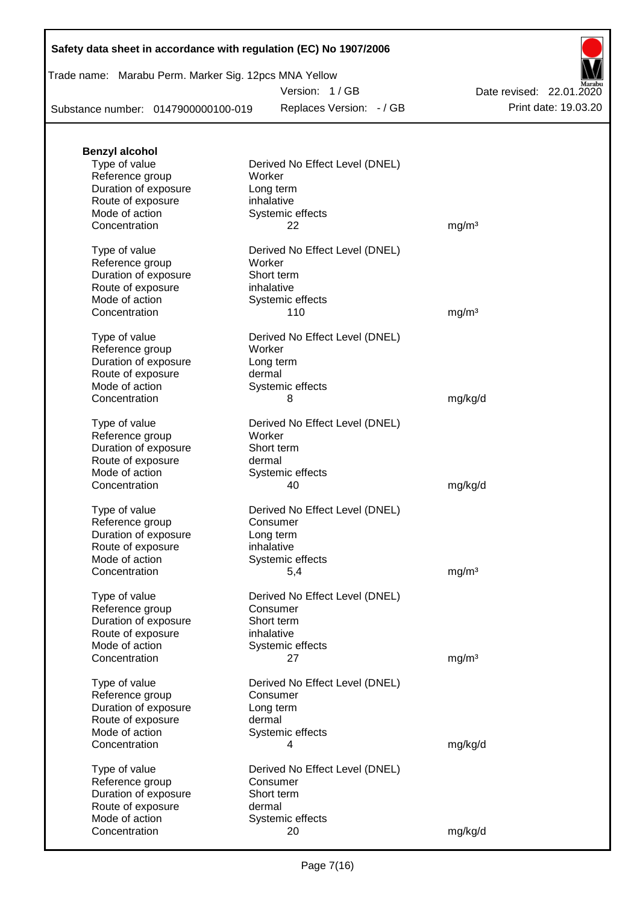| Safety data sheet in accordance with regulation (EC) No 1907/2006 |  |  |  |
|-------------------------------------------------------------------|--|--|--|
|-------------------------------------------------------------------|--|--|--|

Trade name: Marabu Perm. Marker Sig. 12pcs MNA Yellow

Version: 1 / GB

Replaces Version: - / GB Print date: 19.03.20 Date revised: 22.01.2020

Substance number: 0147900000100-019

| <b>Benzyl alcohol</b>               |                                          |                   |
|-------------------------------------|------------------------------------------|-------------------|
| Type of value<br>Reference group    | Derived No Effect Level (DNEL)<br>Worker |                   |
| Duration of exposure                | Long term                                |                   |
| Route of exposure                   | inhalative                               |                   |
| Mode of action                      | Systemic effects                         |                   |
| Concentration                       | 22                                       | mg/m <sup>3</sup> |
| Type of value                       | Derived No Effect Level (DNEL)           |                   |
| Reference group                     | Worker                                   |                   |
| Duration of exposure                | Short term                               |                   |
| Route of exposure<br>Mode of action | inhalative<br>Systemic effects           |                   |
| Concentration                       | 110                                      | mg/m <sup>3</sup> |
|                                     |                                          |                   |
| Type of value                       | Derived No Effect Level (DNEL)           |                   |
| Reference group                     | Worker                                   |                   |
| Duration of exposure                | Long term                                |                   |
| Route of exposure<br>Mode of action | dermal                                   |                   |
| Concentration                       | Systemic effects<br>8                    | mg/kg/d           |
|                                     |                                          |                   |
| Type of value                       | Derived No Effect Level (DNEL)           |                   |
| Reference group                     | Worker                                   |                   |
| Duration of exposure                | Short term                               |                   |
| Route of exposure                   | dermal                                   |                   |
| Mode of action<br>Concentration     | Systemic effects<br>40                   |                   |
|                                     |                                          | mg/kg/d           |
| Type of value                       | Derived No Effect Level (DNEL)           |                   |
| Reference group                     | Consumer                                 |                   |
| Duration of exposure                | Long term                                |                   |
| Route of exposure                   | inhalative                               |                   |
| Mode of action<br>Concentration     | Systemic effects                         |                   |
|                                     | 5,4                                      | mg/m <sup>3</sup> |
| Type of value                       | Derived No Effect Level (DNEL)           |                   |
| Reference group                     | Consumer                                 |                   |
| Duration of exposure                | Short term                               |                   |
| Route of exposure                   | inhalative                               |                   |
| Mode of action                      | Systemic effects                         |                   |
| Concentration                       | 27                                       | mg/m <sup>3</sup> |
| Type of value                       | Derived No Effect Level (DNEL)           |                   |
| Reference group                     | Consumer                                 |                   |
| Duration of exposure                | Long term                                |                   |
| Route of exposure                   | dermal                                   |                   |
| Mode of action                      | Systemic effects                         |                   |
| Concentration                       | 4                                        | mg/kg/d           |
| Type of value                       | Derived No Effect Level (DNEL)           |                   |
| Reference group                     | Consumer                                 |                   |
| Duration of exposure                | Short term                               |                   |
| Route of exposure                   | dermal                                   |                   |
| Mode of action                      | Systemic effects                         |                   |
| Concentration                       | 20                                       | mg/kg/d           |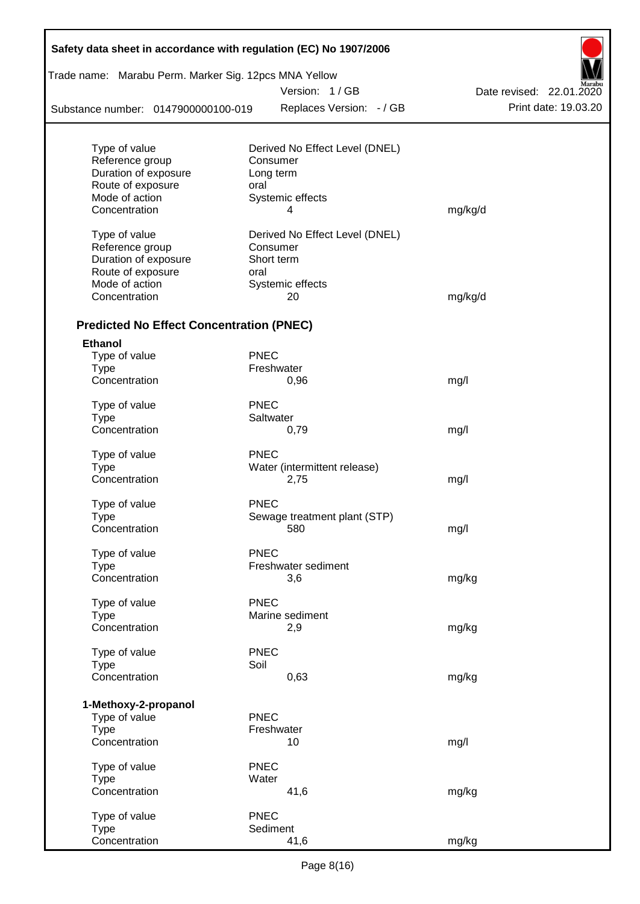| Safety data sheet in accordance with regulation (EC) No 1907/2006 |             |                                |                          |  |  |
|-------------------------------------------------------------------|-------------|--------------------------------|--------------------------|--|--|
| Trade name: Marabu Perm. Marker Sig. 12pcs MNA Yellow             |             |                                |                          |  |  |
|                                                                   |             | Version: 1/GB                  | Date revised: 22.01.2020 |  |  |
| Substance number: 0147900000100-019                               |             | Replaces Version: - / GB       | Print date: 19.03.20     |  |  |
| Type of value                                                     |             | Derived No Effect Level (DNEL) |                          |  |  |
| Reference group                                                   |             | Consumer                       |                          |  |  |
| Duration of exposure                                              |             | Long term                      |                          |  |  |
| Route of exposure                                                 | oral        |                                |                          |  |  |
| Mode of action                                                    |             | Systemic effects               |                          |  |  |
| Concentration                                                     |             | 4                              | mg/kg/d                  |  |  |
| Type of value                                                     |             | Derived No Effect Level (DNEL) |                          |  |  |
| Reference group                                                   |             | Consumer                       |                          |  |  |
| Duration of exposure                                              |             | Short term                     |                          |  |  |
| Route of exposure                                                 | oral        |                                |                          |  |  |
| Mode of action                                                    |             | Systemic effects               |                          |  |  |
| Concentration                                                     |             | 20                             | mg/kg/d                  |  |  |
| <b>Predicted No Effect Concentration (PNEC)</b>                   |             |                                |                          |  |  |
| <b>Ethanol</b>                                                    |             |                                |                          |  |  |
| Type of value                                                     | <b>PNEC</b> |                                |                          |  |  |
| <b>Type</b>                                                       |             | Freshwater                     |                          |  |  |
| Concentration                                                     |             | 0,96                           | mg/l                     |  |  |
| Type of value                                                     | <b>PNEC</b> |                                |                          |  |  |
| <b>Type</b>                                                       |             | Saltwater                      |                          |  |  |
| Concentration                                                     |             | 0,79                           | mg/l                     |  |  |
| Type of value                                                     | <b>PNEC</b> |                                |                          |  |  |
| <b>Type</b>                                                       |             | Water (intermittent release)   |                          |  |  |
| Concentration                                                     |             | 2,75                           | mg/l                     |  |  |
| Type of value                                                     | <b>PNEC</b> |                                |                          |  |  |
| Type                                                              |             | Sewage treatment plant (STP)   |                          |  |  |
| Concentration                                                     |             | 580                            | mg/l                     |  |  |
| Type of value                                                     | <b>PNEC</b> |                                |                          |  |  |
| <b>Type</b>                                                       |             | Freshwater sediment            |                          |  |  |
| Concentration                                                     |             | 3,6                            | mg/kg                    |  |  |
|                                                                   |             |                                |                          |  |  |
| Type of value                                                     | <b>PNEC</b> |                                |                          |  |  |
| <b>Type</b>                                                       |             | Marine sediment                |                          |  |  |
| Concentration                                                     |             | 2,9                            | mg/kg                    |  |  |
| Type of value                                                     | <b>PNEC</b> |                                |                          |  |  |
| <b>Type</b>                                                       | Soil        |                                |                          |  |  |
| Concentration                                                     |             | 0,63                           | mg/kg                    |  |  |
| 1-Methoxy-2-propanol                                              |             |                                |                          |  |  |
| Type of value                                                     | <b>PNEC</b> |                                |                          |  |  |
| <b>Type</b>                                                       |             | Freshwater                     |                          |  |  |
| Concentration                                                     |             | 10                             | mg/l                     |  |  |
| Type of value                                                     | <b>PNEC</b> |                                |                          |  |  |
| <b>Type</b>                                                       | Water       |                                |                          |  |  |
| Concentration                                                     |             | 41,6                           | mg/kg                    |  |  |
|                                                                   | <b>PNEC</b> |                                |                          |  |  |
| Type of value<br><b>Type</b>                                      |             | Sediment                       |                          |  |  |
| Concentration                                                     |             | 41,6                           | mg/kg                    |  |  |

Ī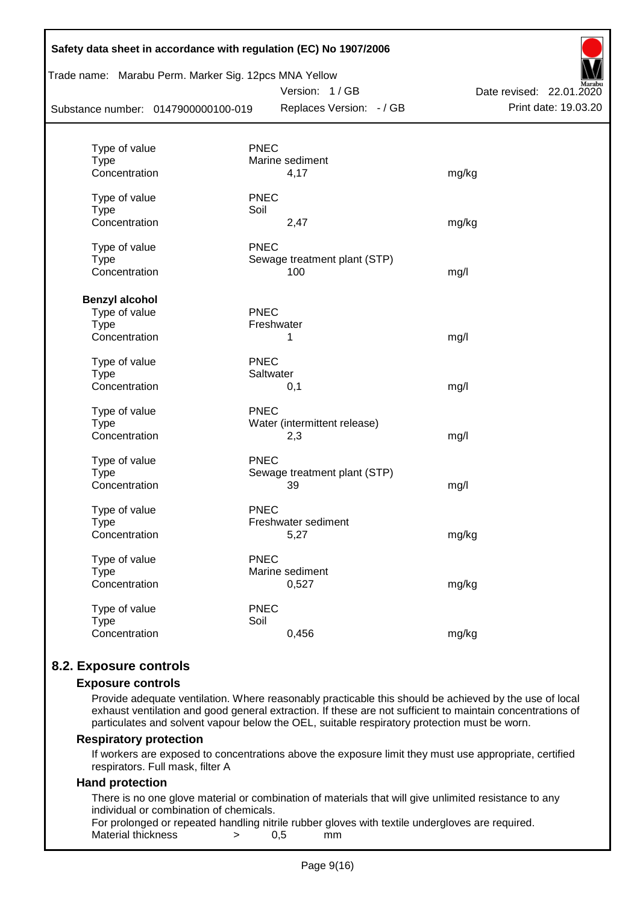| Trade name: Marabu Perm. Marker Sig. 12pcs MNA Yellow<br>Substance number: 0147900000100-019 |                 | Version: 1/GB<br>Replaces Version: - / GB | Date revised: 22.01.2020<br>Print date: 19.03.20 |
|----------------------------------------------------------------------------------------------|-----------------|-------------------------------------------|--------------------------------------------------|
|                                                                                              |                 |                                           |                                                  |
| Type of value                                                                                | <b>PNEC</b>     |                                           |                                                  |
| <b>Type</b>                                                                                  | Marine sediment |                                           |                                                  |
| Concentration                                                                                |                 | 4,17                                      | mg/kg                                            |
| Type of value                                                                                | <b>PNEC</b>     |                                           |                                                  |
| <b>Type</b>                                                                                  | Soil            |                                           |                                                  |
| Concentration                                                                                |                 | 2,47                                      | mg/kg                                            |
| Type of value                                                                                | <b>PNEC</b>     |                                           |                                                  |
| <b>Type</b>                                                                                  |                 | Sewage treatment plant (STP)              |                                                  |
| Concentration                                                                                |                 | 100                                       | mg/l                                             |
| <b>Benzyl alcohol</b>                                                                        |                 |                                           |                                                  |
| Type of value                                                                                | <b>PNEC</b>     |                                           |                                                  |
| <b>Type</b>                                                                                  | Freshwater      |                                           |                                                  |
| Concentration                                                                                | 1               |                                           | mg/l                                             |
| Type of value                                                                                | <b>PNEC</b>     |                                           |                                                  |
| <b>Type</b>                                                                                  | Saltwater       |                                           |                                                  |
| Concentration                                                                                | 0,1             |                                           | mg/l                                             |
| Type of value                                                                                | <b>PNEC</b>     |                                           |                                                  |
| Type                                                                                         |                 | Water (intermittent release)              |                                                  |
| Concentration                                                                                | 2,3             |                                           | mg/l                                             |
| Type of value                                                                                | <b>PNEC</b>     |                                           |                                                  |
| <b>Type</b>                                                                                  |                 | Sewage treatment plant (STP)              |                                                  |
| Concentration                                                                                | 39              |                                           | mg/l                                             |
| Type of value                                                                                | <b>PNEC</b>     |                                           |                                                  |
| <b>Type</b>                                                                                  |                 | Freshwater sediment                       |                                                  |
| Concentration                                                                                |                 | 5,27                                      | mg/kg                                            |
| Type of value                                                                                | <b>PNEC</b>     |                                           |                                                  |
| <b>Type</b>                                                                                  | Marine sediment |                                           |                                                  |
| Concentration                                                                                |                 | 0,527                                     | mg/kg                                            |
| Type of value                                                                                | <b>PNEC</b>     |                                           |                                                  |
| <b>Type</b>                                                                                  | Soil            |                                           |                                                  |
| Concentration                                                                                |                 | 0,456                                     | mg/kg                                            |

## **8.2. Exposure controls**

#### **Exposure controls**

Provide adequate ventilation. Where reasonably practicable this should be achieved by the use of local exhaust ventilation and good general extraction. If these are not sufficient to maintain concentrations of particulates and solvent vapour below the OEL, suitable respiratory protection must be worn.

#### **Respiratory protection**

If workers are exposed to concentrations above the exposure limit they must use appropriate, certified respirators. Full mask, filter A

#### **Hand protection**

There is no one glove material or combination of materials that will give unlimited resistance to any individual or combination of chemicals.

For prolonged or repeated handling nitrile rubber gloves with textile undergloves are required. Material thickness  $\rightarrow$  0,5 mm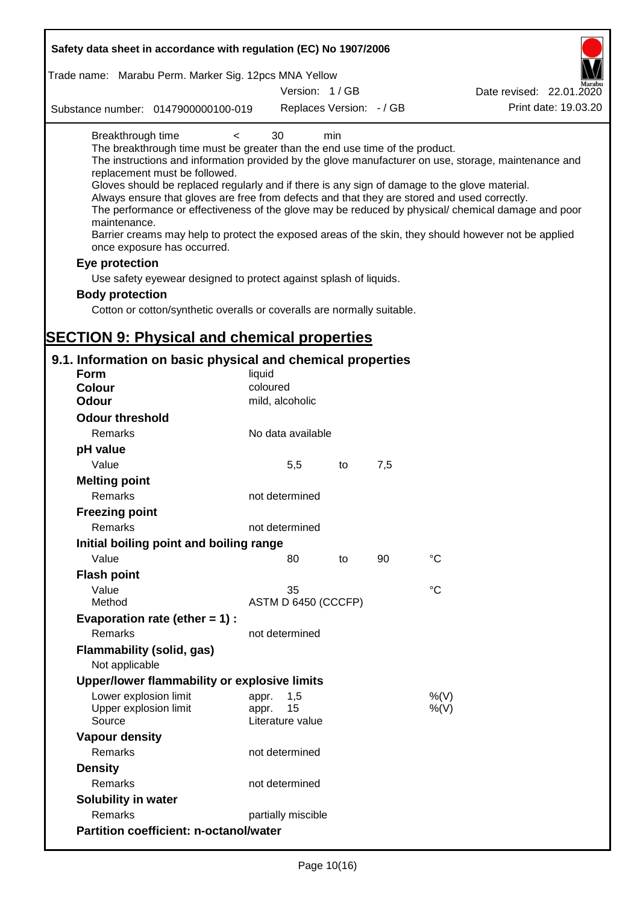| Safety data sheet in accordance with regulation (EC) No 1907/2006                                                                                                                                                                                                                                                                                                                          |                             |     |     |                                                                                                                                                                                                                                                                                                                    |
|--------------------------------------------------------------------------------------------------------------------------------------------------------------------------------------------------------------------------------------------------------------------------------------------------------------------------------------------------------------------------------------------|-----------------------------|-----|-----|--------------------------------------------------------------------------------------------------------------------------------------------------------------------------------------------------------------------------------------------------------------------------------------------------------------------|
| Trade name: Marabu Perm. Marker Sig. 12pcs MNA Yellow                                                                                                                                                                                                                                                                                                                                      |                             |     |     |                                                                                                                                                                                                                                                                                                                    |
|                                                                                                                                                                                                                                                                                                                                                                                            | Version: 1/GB               |     |     | Date revised: 22.01.2020                                                                                                                                                                                                                                                                                           |
| Substance number: 0147900000100-019                                                                                                                                                                                                                                                                                                                                                        | Replaces Version: - / GB    |     |     | Print date: 19.03.20                                                                                                                                                                                                                                                                                               |
| Breakthrough time<br>$\lt$<br>The breakthrough time must be greater than the end use time of the product.<br>replacement must be followed.<br>Gloves should be replaced regularly and if there is any sign of damage to the glove material.<br>Always ensure that gloves are free from defects and that they are stored and used correctly.<br>maintenance.<br>once exposure has occurred. | 30                          | min |     | The instructions and information provided by the glove manufacturer on use, storage, maintenance and<br>The performance or effectiveness of the glove may be reduced by physical/ chemical damage and poor<br>Barrier creams may help to protect the exposed areas of the skin, they should however not be applied |
| Eye protection                                                                                                                                                                                                                                                                                                                                                                             |                             |     |     |                                                                                                                                                                                                                                                                                                                    |
| Use safety eyewear designed to protect against splash of liquids.                                                                                                                                                                                                                                                                                                                          |                             |     |     |                                                                                                                                                                                                                                                                                                                    |
| <b>Body protection</b>                                                                                                                                                                                                                                                                                                                                                                     |                             |     |     |                                                                                                                                                                                                                                                                                                                    |
| Cotton or cotton/synthetic overalls or coveralls are normally suitable.                                                                                                                                                                                                                                                                                                                    |                             |     |     |                                                                                                                                                                                                                                                                                                                    |
|                                                                                                                                                                                                                                                                                                                                                                                            |                             |     |     |                                                                                                                                                                                                                                                                                                                    |
| <b>SECTION 9: Physical and chemical properties</b>                                                                                                                                                                                                                                                                                                                                         |                             |     |     |                                                                                                                                                                                                                                                                                                                    |
| 9.1. Information on basic physical and chemical properties                                                                                                                                                                                                                                                                                                                                 |                             |     |     |                                                                                                                                                                                                                                                                                                                    |
| Form                                                                                                                                                                                                                                                                                                                                                                                       | liquid                      |     |     |                                                                                                                                                                                                                                                                                                                    |
| <b>Colour</b><br><b>Odour</b>                                                                                                                                                                                                                                                                                                                                                              | coloured<br>mild, alcoholic |     |     |                                                                                                                                                                                                                                                                                                                    |
|                                                                                                                                                                                                                                                                                                                                                                                            |                             |     |     |                                                                                                                                                                                                                                                                                                                    |
| <b>Odour threshold</b>                                                                                                                                                                                                                                                                                                                                                                     |                             |     |     |                                                                                                                                                                                                                                                                                                                    |
| Remarks                                                                                                                                                                                                                                                                                                                                                                                    | No data available           |     |     |                                                                                                                                                                                                                                                                                                                    |
| pH value                                                                                                                                                                                                                                                                                                                                                                                   |                             |     |     |                                                                                                                                                                                                                                                                                                                    |
| Value                                                                                                                                                                                                                                                                                                                                                                                      | 5,5                         | to  | 7,5 |                                                                                                                                                                                                                                                                                                                    |
| <b>Melting point</b><br>Remarks                                                                                                                                                                                                                                                                                                                                                            | not determined              |     |     |                                                                                                                                                                                                                                                                                                                    |
|                                                                                                                                                                                                                                                                                                                                                                                            |                             |     |     |                                                                                                                                                                                                                                                                                                                    |
| <b>Freezing point</b>                                                                                                                                                                                                                                                                                                                                                                      |                             |     |     |                                                                                                                                                                                                                                                                                                                    |
| Remarks                                                                                                                                                                                                                                                                                                                                                                                    | not determined              |     |     |                                                                                                                                                                                                                                                                                                                    |
| Initial boiling point and boiling range                                                                                                                                                                                                                                                                                                                                                    |                             |     |     |                                                                                                                                                                                                                                                                                                                    |
| Value                                                                                                                                                                                                                                                                                                                                                                                      | 80                          | to  | 90  | $^{\circ}C$                                                                                                                                                                                                                                                                                                        |
| <b>Flash point</b>                                                                                                                                                                                                                                                                                                                                                                         |                             |     |     |                                                                                                                                                                                                                                                                                                                    |
| Value<br>Method                                                                                                                                                                                                                                                                                                                                                                            | 35<br>ASTM D 6450 (CCCFP)   |     |     | °C                                                                                                                                                                                                                                                                                                                 |
| Evaporation rate (ether $= 1$ ) :                                                                                                                                                                                                                                                                                                                                                          |                             |     |     |                                                                                                                                                                                                                                                                                                                    |
| Remarks                                                                                                                                                                                                                                                                                                                                                                                    | not determined              |     |     |                                                                                                                                                                                                                                                                                                                    |
| Flammability (solid, gas)                                                                                                                                                                                                                                                                                                                                                                  |                             |     |     |                                                                                                                                                                                                                                                                                                                    |
| Not applicable                                                                                                                                                                                                                                                                                                                                                                             |                             |     |     |                                                                                                                                                                                                                                                                                                                    |
| Upper/lower flammability or explosive limits                                                                                                                                                                                                                                                                                                                                               |                             |     |     |                                                                                                                                                                                                                                                                                                                    |
| Lower explosion limit                                                                                                                                                                                                                                                                                                                                                                      | 1,5<br>appr.                |     |     | %(V)                                                                                                                                                                                                                                                                                                               |
| Upper explosion limit                                                                                                                                                                                                                                                                                                                                                                      | 15<br>appr.                 |     |     | %(V)                                                                                                                                                                                                                                                                                                               |
| Source                                                                                                                                                                                                                                                                                                                                                                                     | Literature value            |     |     |                                                                                                                                                                                                                                                                                                                    |
| <b>Vapour density</b>                                                                                                                                                                                                                                                                                                                                                                      |                             |     |     |                                                                                                                                                                                                                                                                                                                    |
| Remarks                                                                                                                                                                                                                                                                                                                                                                                    | not determined              |     |     |                                                                                                                                                                                                                                                                                                                    |
| <b>Density</b>                                                                                                                                                                                                                                                                                                                                                                             |                             |     |     |                                                                                                                                                                                                                                                                                                                    |
| Remarks                                                                                                                                                                                                                                                                                                                                                                                    | not determined              |     |     |                                                                                                                                                                                                                                                                                                                    |
| <b>Solubility in water</b>                                                                                                                                                                                                                                                                                                                                                                 |                             |     |     |                                                                                                                                                                                                                                                                                                                    |
| Remarks                                                                                                                                                                                                                                                                                                                                                                                    | partially miscible          |     |     |                                                                                                                                                                                                                                                                                                                    |
| <b>Partition coefficient: n-octanol/water</b>                                                                                                                                                                                                                                                                                                                                              |                             |     |     |                                                                                                                                                                                                                                                                                                                    |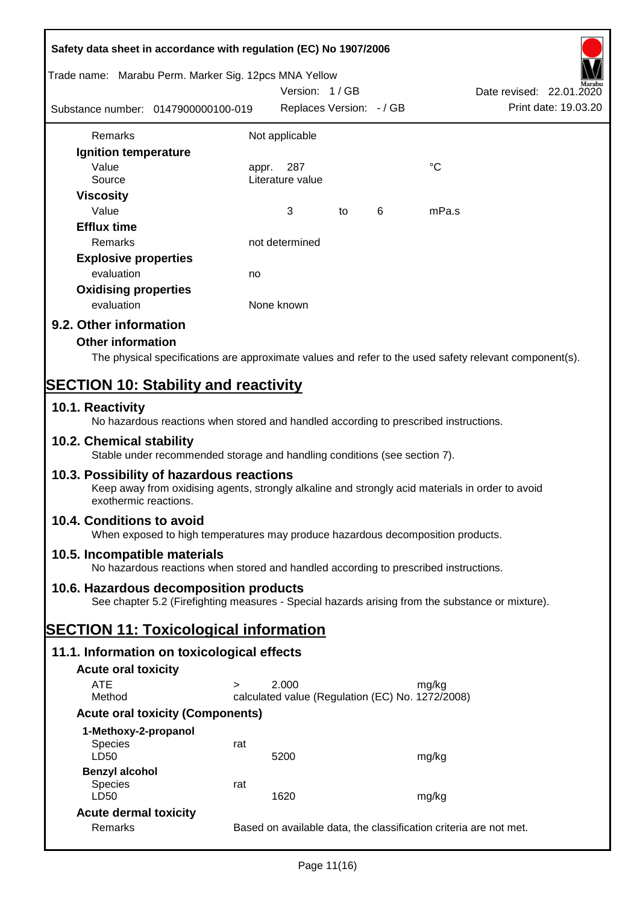| Safety data sheet in accordance with regulation (EC) No 1907/2006                                                                                                     |        |                                                  |    |   |                                                                                                        |  |
|-----------------------------------------------------------------------------------------------------------------------------------------------------------------------|--------|--------------------------------------------------|----|---|--------------------------------------------------------------------------------------------------------|--|
| Trade name: Marabu Perm. Marker Sig. 12pcs MNA Yellow                                                                                                                 |        | Version: 1/GB                                    |    |   | Date revised: 22.01.2020                                                                               |  |
| Substance number: 0147900000100-019                                                                                                                                   |        | Replaces Version: - / GB                         |    |   | Print date: 19.03.20                                                                                   |  |
| <b>Remarks</b>                                                                                                                                                        |        | Not applicable                                   |    |   |                                                                                                        |  |
| Ignition temperature                                                                                                                                                  |        |                                                  |    |   |                                                                                                        |  |
| Value<br>Source                                                                                                                                                       | appr.  | 287<br>Literature value                          |    |   | °C                                                                                                     |  |
| <b>Viscosity</b><br>Value                                                                                                                                             |        | 3                                                | to | 6 | mPa.s                                                                                                  |  |
| <b>Efflux time</b><br>Remarks                                                                                                                                         |        | not determined                                   |    |   |                                                                                                        |  |
|                                                                                                                                                                       |        |                                                  |    |   |                                                                                                        |  |
| <b>Explosive properties</b>                                                                                                                                           |        |                                                  |    |   |                                                                                                        |  |
| evaluation                                                                                                                                                            | no     |                                                  |    |   |                                                                                                        |  |
| <b>Oxidising properties</b><br>evaluation                                                                                                                             |        | None known                                       |    |   |                                                                                                        |  |
| 9.2. Other information                                                                                                                                                |        |                                                  |    |   |                                                                                                        |  |
| <b>Other information</b>                                                                                                                                              |        |                                                  |    |   |                                                                                                        |  |
|                                                                                                                                                                       |        |                                                  |    |   |                                                                                                        |  |
|                                                                                                                                                                       |        |                                                  |    |   | The physical specifications are approximate values and refer to the used safety relevant component(s). |  |
| <b>SECTION 10: Stability and reactivity</b>                                                                                                                           |        |                                                  |    |   |                                                                                                        |  |
| 10.1. Reactivity<br>No hazardous reactions when stored and handled according to prescribed instructions.                                                              |        |                                                  |    |   |                                                                                                        |  |
| 10.2. Chemical stability<br>Stable under recommended storage and handling conditions (see section 7).                                                                 |        |                                                  |    |   |                                                                                                        |  |
| 10.3. Possibility of hazardous reactions<br>Keep away from oxidising agents, strongly alkaline and strongly acid materials in order to avoid<br>exothermic reactions. |        |                                                  |    |   |                                                                                                        |  |
| 10.4. Conditions to avoid<br>When exposed to high temperatures may produce hazardous decomposition products.                                                          |        |                                                  |    |   |                                                                                                        |  |
| 10.5. Incompatible materials<br>No hazardous reactions when stored and handled according to prescribed instructions.                                                  |        |                                                  |    |   |                                                                                                        |  |
| 10.6. Hazardous decomposition products                                                                                                                                |        |                                                  |    |   |                                                                                                        |  |
| See chapter 5.2 (Firefighting measures - Special hazards arising from the substance or mixture).                                                                      |        |                                                  |    |   |                                                                                                        |  |
| <b>SECTION 11: Toxicological information</b>                                                                                                                          |        |                                                  |    |   |                                                                                                        |  |
| 11.1. Information on toxicological effects                                                                                                                            |        |                                                  |    |   |                                                                                                        |  |
| <b>Acute oral toxicity</b>                                                                                                                                            |        |                                                  |    |   |                                                                                                        |  |
| <b>ATE</b>                                                                                                                                                            | $\geq$ | 2.000                                            |    |   | mg/kg                                                                                                  |  |
| Method                                                                                                                                                                |        | calculated value (Regulation (EC) No. 1272/2008) |    |   |                                                                                                        |  |
| <b>Acute oral toxicity (Components)</b>                                                                                                                               |        |                                                  |    |   |                                                                                                        |  |
| 1-Methoxy-2-propanol                                                                                                                                                  |        |                                                  |    |   |                                                                                                        |  |
| Species<br>LD50                                                                                                                                                       | rat    | 5200                                             |    |   | mg/kg                                                                                                  |  |
| <b>Benzyl alcohol</b>                                                                                                                                                 |        |                                                  |    |   |                                                                                                        |  |
| <b>Species</b><br>LD50                                                                                                                                                | rat    | 1620                                             |    |   | mg/kg                                                                                                  |  |
| <b>Acute dermal toxicity</b>                                                                                                                                          |        |                                                  |    |   |                                                                                                        |  |
| Remarks                                                                                                                                                               |        |                                                  |    |   | Based on available data, the classification criteria are not met.                                      |  |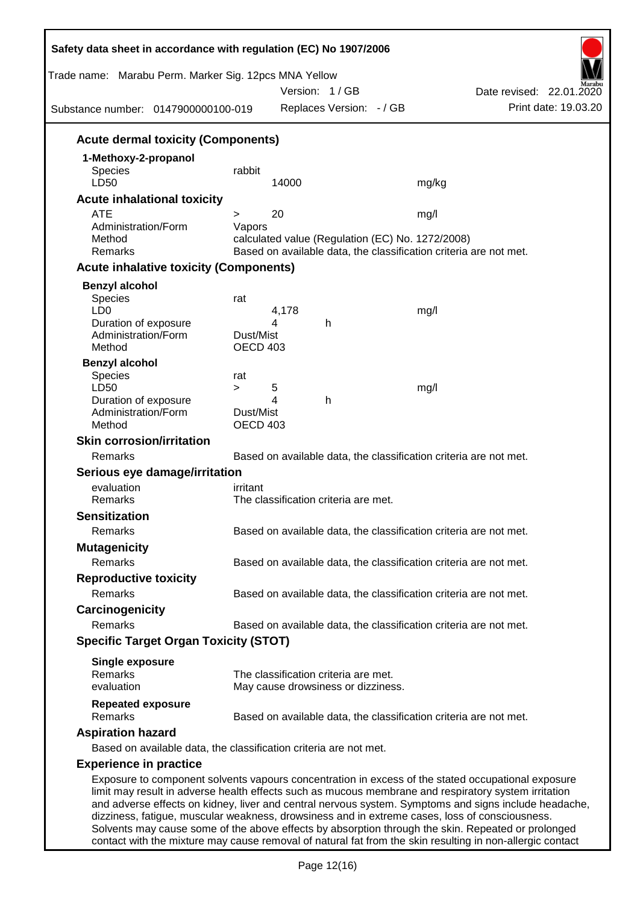| Trade name: Marabu Perm. Marker Sig. 12pcs MNA Yellow<br>Substance number: 0147900000100-019                                                                                                                                                                                                                 |                                               |            | Version: 1/GB<br>Replaces Version: - / GB |                                                          | Date revised: 22.01.2020<br>Print date: 19.03.20                                                      |
|--------------------------------------------------------------------------------------------------------------------------------------------------------------------------------------------------------------------------------------------------------------------------------------------------------------|-----------------------------------------------|------------|-------------------------------------------|----------------------------------------------------------|-------------------------------------------------------------------------------------------------------|
| <b>Acute dermal toxicity (Components)</b>                                                                                                                                                                                                                                                                    |                                               |            |                                           |                                                          |                                                                                                       |
| 1-Methoxy-2-propanol<br><b>Species</b><br>LD50                                                                                                                                                                                                                                                               | rabbit                                        | 14000      |                                           | mg/kg                                                    |                                                                                                       |
| <b>Acute inhalational toxicity</b>                                                                                                                                                                                                                                                                           |                                               |            |                                           |                                                          |                                                                                                       |
| <b>ATE</b><br>Administration/Form<br>Method<br>Remarks                                                                                                                                                                                                                                                       | $\geq$<br>Vapors                              | 20         |                                           | mg/l<br>calculated value (Regulation (EC) No. 1272/2008) | Based on available data, the classification criteria are not met.                                     |
| <b>Acute inhalative toxicity (Components)</b>                                                                                                                                                                                                                                                                |                                               |            |                                           |                                                          |                                                                                                       |
| <b>Benzyl alcohol</b>                                                                                                                                                                                                                                                                                        |                                               |            |                                           |                                                          |                                                                                                       |
| <b>Species</b><br>LD <sub>0</sub><br>Duration of exposure<br>Administration/Form<br>Method                                                                                                                                                                                                                   | rat<br>Dust/Mist<br><b>OECD 403</b>           | 4,178<br>4 | h                                         | mg/l                                                     |                                                                                                       |
| <b>Benzyl alcohol</b>                                                                                                                                                                                                                                                                                        |                                               |            |                                           |                                                          |                                                                                                       |
| <b>Species</b><br>LD50<br>Duration of exposure<br>Administration/Form<br>Method                                                                                                                                                                                                                              | rat<br>$\geq$<br>Dust/Mist<br><b>OECD 403</b> | 5<br>4     | h                                         | mg/l                                                     |                                                                                                       |
| <b>Skin corrosion/irritation</b>                                                                                                                                                                                                                                                                             |                                               |            |                                           |                                                          |                                                                                                       |
| Remarks                                                                                                                                                                                                                                                                                                      |                                               |            |                                           |                                                          | Based on available data, the classification criteria are not met.                                     |
| Serious eye damage/irritation                                                                                                                                                                                                                                                                                |                                               |            |                                           |                                                          |                                                                                                       |
| evaluation                                                                                                                                                                                                                                                                                                   | irritant                                      |            |                                           |                                                          |                                                                                                       |
| <b>Remarks</b>                                                                                                                                                                                                                                                                                               |                                               |            | The classification criteria are met.      |                                                          |                                                                                                       |
| <b>Sensitization</b>                                                                                                                                                                                                                                                                                         |                                               |            |                                           |                                                          |                                                                                                       |
| Remarks                                                                                                                                                                                                                                                                                                      |                                               |            |                                           |                                                          | Based on available data, the classification criteria are not met.                                     |
| <b>Mutagenicity</b><br>Remarks                                                                                                                                                                                                                                                                               |                                               |            |                                           |                                                          | Based on available data, the classification criteria are not met.                                     |
| <b>Reproductive toxicity</b>                                                                                                                                                                                                                                                                                 |                                               |            |                                           |                                                          |                                                                                                       |
| Remarks                                                                                                                                                                                                                                                                                                      |                                               |            |                                           |                                                          | Based on available data, the classification criteria are not met.                                     |
| Carcinogenicity                                                                                                                                                                                                                                                                                              |                                               |            |                                           |                                                          |                                                                                                       |
| Remarks                                                                                                                                                                                                                                                                                                      |                                               |            |                                           |                                                          | Based on available data, the classification criteria are not met.                                     |
| <b>Specific Target Organ Toxicity (STOT)</b>                                                                                                                                                                                                                                                                 |                                               |            |                                           |                                                          |                                                                                                       |
| <b>Single exposure</b><br>Remarks                                                                                                                                                                                                                                                                            |                                               |            | The classification criteria are met.      |                                                          |                                                                                                       |
| evaluation                                                                                                                                                                                                                                                                                                   |                                               |            | May cause drowsiness or dizziness.        |                                                          |                                                                                                       |
| <b>Repeated exposure</b><br>Remarks                                                                                                                                                                                                                                                                          |                                               |            |                                           |                                                          | Based on available data, the classification criteria are not met.                                     |
| <b>Aspiration hazard</b>                                                                                                                                                                                                                                                                                     |                                               |            |                                           |                                                          |                                                                                                       |
| Based on available data, the classification criteria are not met.                                                                                                                                                                                                                                            |                                               |            |                                           |                                                          |                                                                                                       |
| <b>Experience in practice</b>                                                                                                                                                                                                                                                                                |                                               |            |                                           |                                                          |                                                                                                       |
| Exposure to component solvents vapours concentration in excess of the stated occupational exposure<br>limit may result in adverse health effects such as mucous membrane and respiratory system irritation<br>dizziness, fatigue, muscular weakness, drowsiness and in extreme cases, loss of consciousness. |                                               |            |                                           |                                                          | and adverse effects on kidney, liver and central nervous system. Symptoms and signs include headache, |

Solvents may cause some of the above effects by absorption through the skin. Repeated or prolonged contact with the mixture may cause removal of natural fat from the skin resulting in non-allergic contact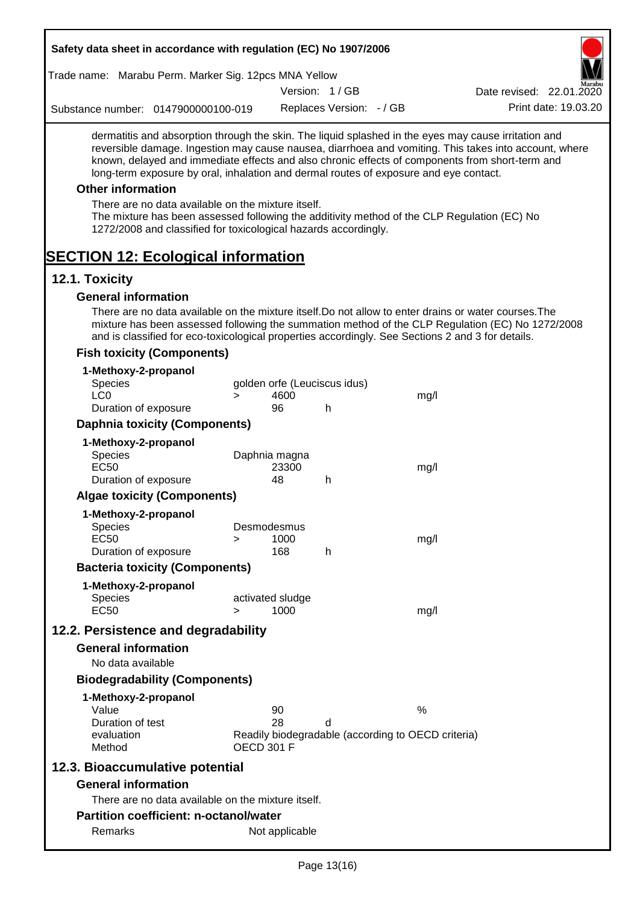| Safety data sheet in accordance with regulation (EC) No 1907/2006                                                                                                                                                                                                                                                                                                                                                                                                                                                                                                                                                                                                                                          |                   |                          |                              |                                                    |                          |
|------------------------------------------------------------------------------------------------------------------------------------------------------------------------------------------------------------------------------------------------------------------------------------------------------------------------------------------------------------------------------------------------------------------------------------------------------------------------------------------------------------------------------------------------------------------------------------------------------------------------------------------------------------------------------------------------------------|-------------------|--------------------------|------------------------------|----------------------------------------------------|--------------------------|
| Trade name: Marabu Perm. Marker Sig. 12pcs MNA Yellow                                                                                                                                                                                                                                                                                                                                                                                                                                                                                                                                                                                                                                                      |                   |                          |                              |                                                    |                          |
|                                                                                                                                                                                                                                                                                                                                                                                                                                                                                                                                                                                                                                                                                                            |                   |                          | Version: 1/GB                |                                                    | Date revised: 22.01.2020 |
| Substance number: 0147900000100-019                                                                                                                                                                                                                                                                                                                                                                                                                                                                                                                                                                                                                                                                        |                   |                          | Replaces Version: - / GB     |                                                    | Print date: 19.03.20     |
| dermatitis and absorption through the skin. The liquid splashed in the eyes may cause irritation and<br>reversible damage. Ingestion may cause nausea, diarrhoea and vomiting. This takes into account, where<br>known, delayed and immediate effects and also chronic effects of components from short-term and<br>long-term exposure by oral, inhalation and dermal routes of exposure and eye contact.<br><b>Other information</b><br>There are no data available on the mixture itself.<br>The mixture has been assessed following the additivity method of the CLP Regulation (EC) No<br>1272/2008 and classified for toxicological hazards accordingly.<br><b>SECTION 12: Ecological information</b> |                   |                          |                              |                                                    |                          |
| 12.1. Toxicity                                                                                                                                                                                                                                                                                                                                                                                                                                                                                                                                                                                                                                                                                             |                   |                          |                              |                                                    |                          |
| <b>General information</b>                                                                                                                                                                                                                                                                                                                                                                                                                                                                                                                                                                                                                                                                                 |                   |                          |                              |                                                    |                          |
| There are no data available on the mixture itself. Do not allow to enter drains or water courses. The<br>mixture has been assessed following the summation method of the CLP Regulation (EC) No 1272/2008<br>and is classified for eco-toxicological properties accordingly. See Sections 2 and 3 for details.                                                                                                                                                                                                                                                                                                                                                                                             |                   |                          |                              |                                                    |                          |
| <b>Fish toxicity (Components)</b>                                                                                                                                                                                                                                                                                                                                                                                                                                                                                                                                                                                                                                                                          |                   |                          |                              |                                                    |                          |
| 1-Methoxy-2-propanol<br>Species                                                                                                                                                                                                                                                                                                                                                                                                                                                                                                                                                                                                                                                                            |                   |                          | golden orfe (Leuciscus idus) |                                                    |                          |
| LC <sub>0</sub>                                                                                                                                                                                                                                                                                                                                                                                                                                                                                                                                                                                                                                                                                            | $\geq$            | 4600                     |                              | mg/l                                               |                          |
| Duration of exposure                                                                                                                                                                                                                                                                                                                                                                                                                                                                                                                                                                                                                                                                                       |                   | 96                       | h                            |                                                    |                          |
| <b>Daphnia toxicity (Components)</b>                                                                                                                                                                                                                                                                                                                                                                                                                                                                                                                                                                                                                                                                       |                   |                          |                              |                                                    |                          |
| 1-Methoxy-2-propanol                                                                                                                                                                                                                                                                                                                                                                                                                                                                                                                                                                                                                                                                                       |                   |                          |                              |                                                    |                          |
| Species                                                                                                                                                                                                                                                                                                                                                                                                                                                                                                                                                                                                                                                                                                    |                   | Daphnia magna            |                              |                                                    |                          |
| <b>EC50</b>                                                                                                                                                                                                                                                                                                                                                                                                                                                                                                                                                                                                                                                                                                |                   | 23300                    |                              | mg/l                                               |                          |
| Duration of exposure                                                                                                                                                                                                                                                                                                                                                                                                                                                                                                                                                                                                                                                                                       |                   | 48                       | h                            |                                                    |                          |
| <b>Algae toxicity (Components)</b>                                                                                                                                                                                                                                                                                                                                                                                                                                                                                                                                                                                                                                                                         |                   |                          |                              |                                                    |                          |
| 1-Methoxy-2-propanol                                                                                                                                                                                                                                                                                                                                                                                                                                                                                                                                                                                                                                                                                       |                   |                          |                              |                                                    |                          |
| <b>Species</b>                                                                                                                                                                                                                                                                                                                                                                                                                                                                                                                                                                                                                                                                                             |                   | Desmodesmus              |                              |                                                    |                          |
| <b>EC50</b>                                                                                                                                                                                                                                                                                                                                                                                                                                                                                                                                                                                                                                                                                                | >                 | 1000                     |                              | mq/l                                               |                          |
| Duration of exposure                                                                                                                                                                                                                                                                                                                                                                                                                                                                                                                                                                                                                                                                                       |                   | 168                      | h                            |                                                    |                          |
| <b>Bacteria toxicity (Components)</b>                                                                                                                                                                                                                                                                                                                                                                                                                                                                                                                                                                                                                                                                      |                   |                          |                              |                                                    |                          |
| 1-Methoxy-2-propanol                                                                                                                                                                                                                                                                                                                                                                                                                                                                                                                                                                                                                                                                                       |                   |                          |                              |                                                    |                          |
| Species<br><b>EC50</b>                                                                                                                                                                                                                                                                                                                                                                                                                                                                                                                                                                                                                                                                                     | $\geq$            | activated sludge<br>1000 |                              | mg/l                                               |                          |
|                                                                                                                                                                                                                                                                                                                                                                                                                                                                                                                                                                                                                                                                                                            |                   |                          |                              |                                                    |                          |
| 12.2. Persistence and degradability                                                                                                                                                                                                                                                                                                                                                                                                                                                                                                                                                                                                                                                                        |                   |                          |                              |                                                    |                          |
| <b>General information</b>                                                                                                                                                                                                                                                                                                                                                                                                                                                                                                                                                                                                                                                                                 |                   |                          |                              |                                                    |                          |
| No data available                                                                                                                                                                                                                                                                                                                                                                                                                                                                                                                                                                                                                                                                                          |                   |                          |                              |                                                    |                          |
| <b>Biodegradability (Components)</b>                                                                                                                                                                                                                                                                                                                                                                                                                                                                                                                                                                                                                                                                       |                   |                          |                              |                                                    |                          |
| 1-Methoxy-2-propanol                                                                                                                                                                                                                                                                                                                                                                                                                                                                                                                                                                                                                                                                                       |                   |                          |                              |                                                    |                          |
| Value                                                                                                                                                                                                                                                                                                                                                                                                                                                                                                                                                                                                                                                                                                      |                   | 90                       |                              | %                                                  |                          |
| Duration of test<br>evaluation                                                                                                                                                                                                                                                                                                                                                                                                                                                                                                                                                                                                                                                                             |                   | 28                       | d                            | Readily biodegradable (according to OECD criteria) |                          |
| Method                                                                                                                                                                                                                                                                                                                                                                                                                                                                                                                                                                                                                                                                                                     | <b>OECD 301 F</b> |                          |                              |                                                    |                          |
| 12.3. Bioaccumulative potential                                                                                                                                                                                                                                                                                                                                                                                                                                                                                                                                                                                                                                                                            |                   |                          |                              |                                                    |                          |
| <b>General information</b>                                                                                                                                                                                                                                                                                                                                                                                                                                                                                                                                                                                                                                                                                 |                   |                          |                              |                                                    |                          |
| There are no data available on the mixture itself.                                                                                                                                                                                                                                                                                                                                                                                                                                                                                                                                                                                                                                                         |                   |                          |                              |                                                    |                          |
| Partition coefficient: n-octanol/water                                                                                                                                                                                                                                                                                                                                                                                                                                                                                                                                                                                                                                                                     |                   |                          |                              |                                                    |                          |
| Remarks                                                                                                                                                                                                                                                                                                                                                                                                                                                                                                                                                                                                                                                                                                    |                   | Not applicable           |                              |                                                    |                          |
|                                                                                                                                                                                                                                                                                                                                                                                                                                                                                                                                                                                                                                                                                                            |                   |                          |                              |                                                    |                          |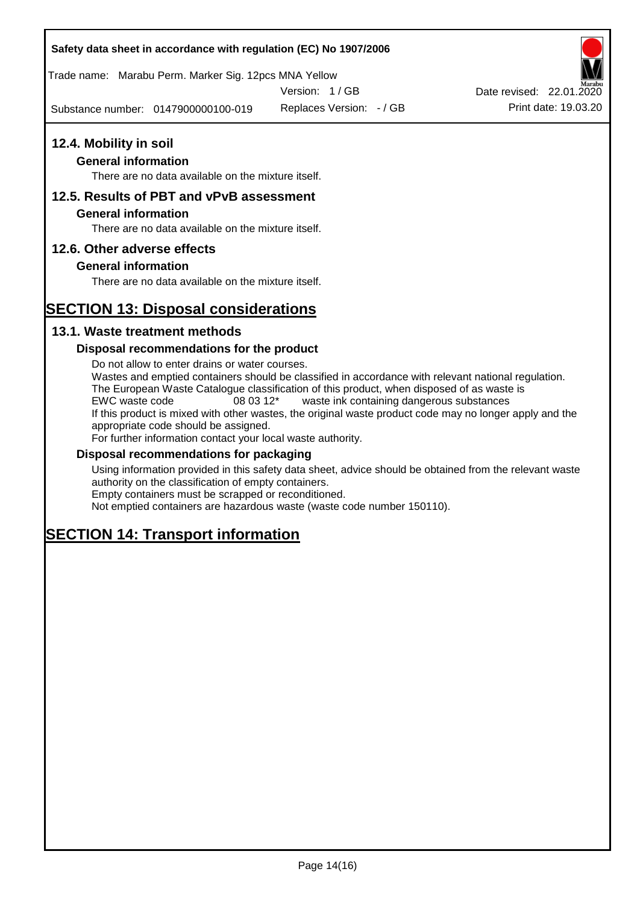### **Safety data sheet in accordance with regulation (EC) No 1907/2006**

Trade name: Marabu Perm. Marker Sig. 12pcs MNA Yellow

Version: 1 / GB

Substance number: 0147900000100-019

Replaces Version: - / GB Print date: 19.03.20 Date revised: 22.01.2020

## **12.4. Mobility in soil**

## **General information**

There are no data available on the mixture itself.

## **12.5. Results of PBT and vPvB assessment**

#### **General information**

There are no data available on the mixture itself.

### **12.6. Other adverse effects**

### **General information**

There are no data available on the mixture itself.

# **SECTION 13: Disposal considerations**

## **13.1. Waste treatment methods**

### **Disposal recommendations for the product**

Do not allow to enter drains or water courses. Wastes and emptied containers should be classified in accordance with relevant national regulation. The European Waste Catalogue classification of this product, when disposed of as waste is EWC waste code 08 03 12\* waste ink containing dangerous substances If this product is mixed with other wastes, the original waste product code may no longer apply and the appropriate code should be assigned. For further information contact your local waste authority.

#### **Disposal recommendations for packaging**

Using information provided in this safety data sheet, advice should be obtained from the relevant waste authority on the classification of empty containers. Empty containers must be scrapped or reconditioned.

Not emptied containers are hazardous waste (waste code number 150110).

# **SECTION 14: Transport information**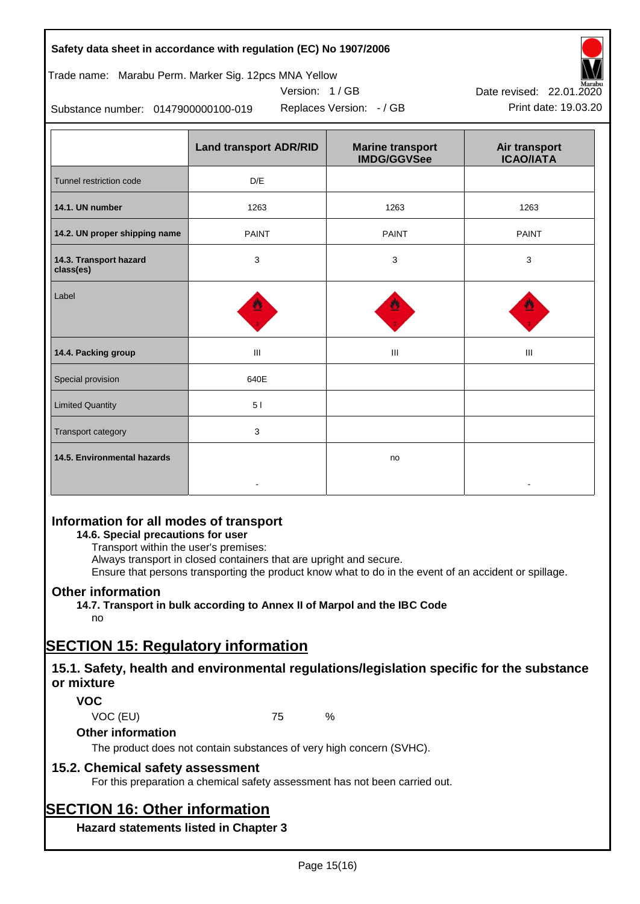| Safety data sheet in accordance with regulation (EC) No 1907/2006 |  |
|-------------------------------------------------------------------|--|
|-------------------------------------------------------------------|--|

## Trade name: Marabu Perm. Marker Sig. 12pcs MNA Yellow





Replaces Version:  $-$  / GB Print date: 19.03.20 Date revised: 22.01.2020

Substance number: 0147900000100-019

|                                     | <b>Land transport ADR/RID</b> | <b>Marine transport</b><br><b>IMDG/GGVSee</b> | Air transport<br><b>ICAO/IATA</b> |
|-------------------------------------|-------------------------------|-----------------------------------------------|-----------------------------------|
| Tunnel restriction code             | D/E                           |                                               |                                   |
| 14.1. UN number                     | 1263                          | 1263                                          | 1263                              |
| 14.2. UN proper shipping name       | <b>PAINT</b>                  | <b>PAINT</b>                                  | <b>PAINT</b>                      |
| 14.3. Transport hazard<br>class(es) | 3                             | 3                                             | 3                                 |
| Label                               |                               |                                               |                                   |
| 14.4. Packing group                 | Ш                             | Ш                                             | Ш                                 |
| Special provision                   | 640E                          |                                               |                                   |
| <b>Limited Quantity</b>             | 51                            |                                               |                                   |
| Transport category                  | 3                             |                                               |                                   |
| 14.5. Environmental hazards         |                               | no                                            |                                   |

## **Information for all modes of transport**

## **14.6. Special precautions for user**

Transport within the user's premises:

Always transport in closed containers that are upright and secure.

Ensure that persons transporting the product know what to do in the event of an accident or spillage.

## **Other information**

**14.7. Transport in bulk according to Annex II of Marpol and the IBC Code**

# no

# **SECTION 15: Regulatory information**

## **15.1. Safety, health and environmental regulations/legislation specific for the substance or mixture**

## **VOC**

VOC (EU) 75 %

### **Other information**

The product does not contain substances of very high concern (SVHC).

## **15.2. Chemical safety assessment**

For this preparation a chemical safety assessment has not been carried out.

# **SECTION 16: Other information**

**Hazard statements listed in Chapter 3**